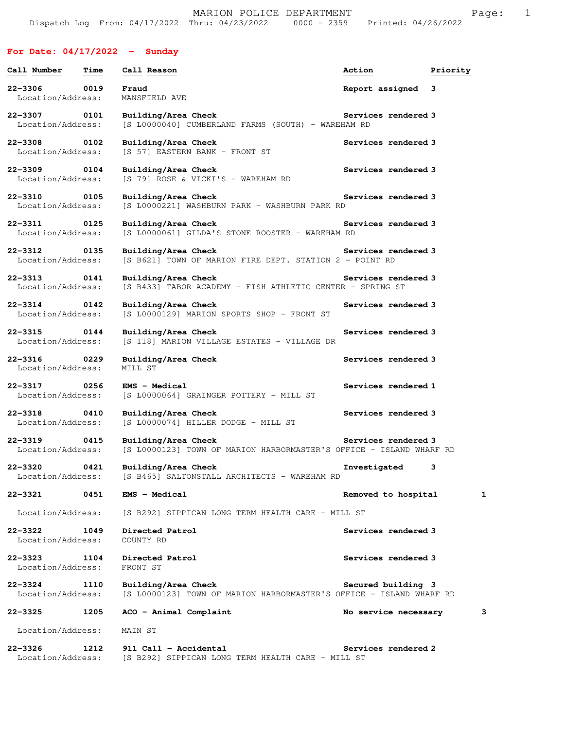## **For Date: 04/17/2022 - Sunday**

| Call Number                              | Time | Call Reason                                                                                | Action               | Priority |
|------------------------------------------|------|--------------------------------------------------------------------------------------------|----------------------|----------|
| 22-3306<br>Location/Address:             | 0019 | Fraud<br>MANSFIELD AVE                                                                     | Report assigned      | 3        |
| 22-3307 0101<br>Location/Address:        |      | Building/Area Check<br>[S L0000040] CUMBERLAND FARMS (SOUTH) - WAREHAM RD                  | Services rendered 3  |          |
| 22-3308<br>Location/Address:             | 0102 | Building/Area Check<br>[S 57] EASTERN BANK - FRONT ST                                      | Services rendered 3  |          |
| $22 - 3309$<br>0104<br>Location/Address: |      | Building/Area Check<br>[S 79] ROSE & VICKI'S - WAREHAM RD                                  | Services rendered 3  |          |
| 22-3310<br>Location/Address:             | 0105 | Building/Area Check<br>[S L0000221] WASHBURN PARK - WASHBURN PARK RD                       | Services rendered 3  |          |
| 22-3311 0125<br>Location/Address:        |      | Building/Area Check<br>[S L0000061] GILDA'S STONE ROOSTER - WAREHAM RD                     | Services rendered 3  |          |
| 22-3312<br>Location/Address:             | 0135 | Building/Area Check<br>[S B621] TOWN OF MARION FIRE DEPT. STATION 2 - POINT RD             | Services rendered 3  |          |
| 22-3313 0141<br>Location/Address:        |      | Building/Area Check<br>[S B433] TABOR ACADEMY - FISH ATHLETIC CENTER - SPRING ST           | Services rendered 3  |          |
| $22 - 3314$<br>Location/Address:         | 0142 | Building/Area Check<br>[S L0000129] MARION SPORTS SHOP - FRONT ST                          | Services rendered 3  |          |
| 22-3315<br>Location/Address:             | 0144 | Building/Area Check<br>[S 118] MARION VILLAGE ESTATES - VILLAGE DR                         | Services rendered 3  |          |
| 22-3316<br>Location/Address:             | 0229 | Building/Area Check<br>MILL ST                                                             | Services rendered 3  |          |
| 22-3317 0256<br>Location/Address:        |      | <b>EMS - Medical</b><br>[S L0000064] GRAINGER POTTERY - MILL ST                            | Services rendered 1  |          |
| $22 - 3318$<br>Location/Address:         | 0410 | Building/Area Check<br>[S L0000074] HILLER DODGE - MILL ST                                 | Services rendered 3  |          |
| 22-3319<br>Location/Address:             | 0415 | Building/Area Check<br>[S L0000123] TOWN OF MARION HARBORMASTER'S OFFICE - ISLAND WHARF RD | Services rendered 3  |          |
| $22 - 3320$                              | 0421 | Building/Area Check<br>Location/Address: [S B465] SALTONSTALL ARCHITECTS - WAREHAM RD      | Investigated         | 3        |
| 22-3321                                  | 0451 | <b>EMS - Medical</b>                                                                       | Removed to hospital  | 1        |
| Location/Address:                        |      | [S B292] SIPPICAN LONG TERM HEALTH CARE - MILL ST                                          |                      |          |
| 22-3322<br>Location/Address:             | 1049 | Directed Patrol<br>COUNTY RD                                                               | Services rendered 3  |          |
| 22-3323<br>Location/Address:             | 1104 | Directed Patrol<br>FRONT ST                                                                | Services rendered 3  |          |
| $22 - 3324$<br>Location/Address:         | 1110 | Building/Area Check<br>[S L0000123] TOWN OF MARION HARBORMASTER'S OFFICE - ISLAND WHARF RD | Secured building 3   |          |
| 22-3325                                  | 1205 | ACO - Animal Complaint                                                                     | No service necessary | з        |
| Location/Address:                        |      | MAIN ST                                                                                    |                      |          |
| $22 - 3326$<br>Location/Address:         | 1212 | 911 Call - Accidental<br>[S B292] SIPPICAN LONG TERM HEALTH CARE - MILL ST                 | Services rendered 2  |          |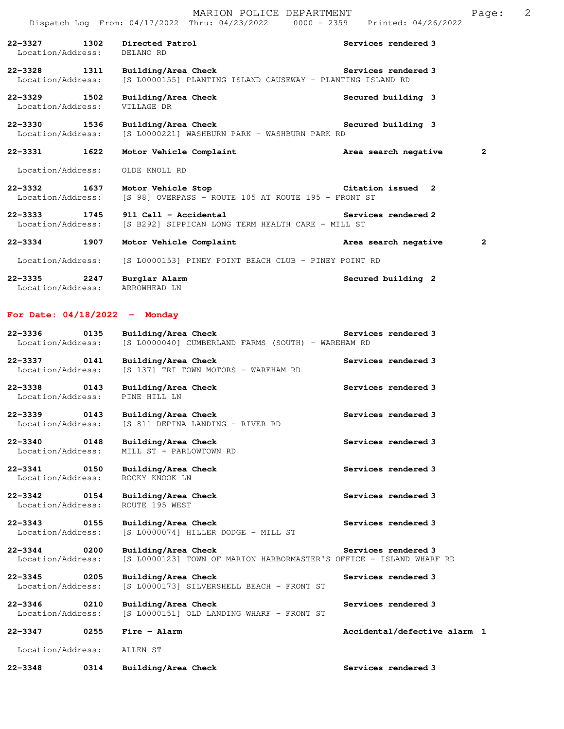| 22-3327 1302 Directed Patrol<br>Location/Address: DELANO RD |                                                                                                                                  | Services rendered 3                    |
|-------------------------------------------------------------|----------------------------------------------------------------------------------------------------------------------------------|----------------------------------------|
| 22-3328 1311<br>Location/Address:                           | Services rendered 3<br>Building/Area Check<br>[S L0000155] PLANTING ISLAND CAUSEWAY - PLANTING ISLAND RD                         |                                        |
| 22-3329 1502<br>Location/Address:                           | Building/Area Check<br>VILLAGE DR                                                                                                | Secured building 3                     |
| 22-3330 1536                                                | Building/Area Check<br>Location/Address: [S L0000221] WASHBURN PARK - WASHBURN PARK RD                                           | Secured building 3                     |
| 22–3331 1622                                                | Motor Vehicle Complaint                                                                                                          | $\overline{2}$<br>Area search negative |
| Location/Address: OLDE KNOLL RD                             |                                                                                                                                  |                                        |
| 22-3332 1637                                                | Citation issued 2<br>Motor Vehicle Stop<br>Location/Address: [S 98] OVERPASS - ROUTE 105 AT ROUTE 195 - FRONT ST                 |                                        |
|                                                             | Services rendered 2<br>22-3333 1745 911 Call - Accidental<br>Location/Address: [S B292] SIPPICAN LONG TERM HEALTH CARE - MILL ST |                                        |
| 22-3334 1907                                                | Motor Vehicle Complaint                                                                                                          | $\overline{2}$<br>Area search negative |
|                                                             | Location/Address: [S L0000153] PINEY POINT BEACH CLUB - PINEY POINT RD                                                           |                                        |
| 22-3335 2247 Burglar Alarm<br>Location/Address:             | ARROWHEAD LN                                                                                                                     | Secured building 2                     |

## **For Date: 04/18/2022 - Monday**

| Services rendered 3                                                                        |
|--------------------------------------------------------------------------------------------|
| Services rendered 3                                                                        |
| Services rendered 3                                                                        |
| Services rendered 3                                                                        |
| Services rendered 3                                                                        |
| Services rendered 3                                                                        |
| Services rendered 3                                                                        |
| Services rendered 3<br>[S L0000123] TOWN OF MARION HARBORMASTER'S OFFICE - ISLAND WHARF RD |
| Services rendered 3                                                                        |
| Services rendered 3                                                                        |
| Accidental/defective alarm 1                                                               |
|                                                                                            |
|                                                                                            |

**22-3348 0314 Building/Area Check Services rendered 3**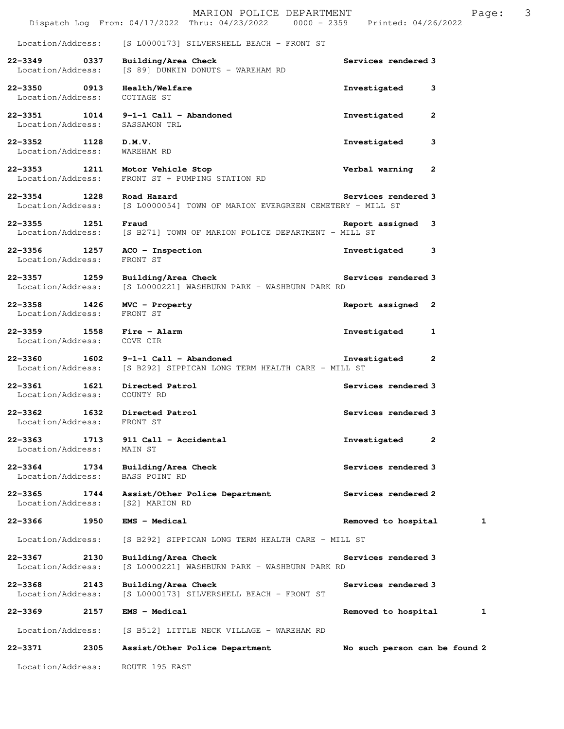|                                                   |                                                                 | MARION POLICE DEPARTMENT                                              | Dispatch Log From: 04/17/2022 Thru: 04/23/2022 0000 - 2359 Printed: 04/26/2022 | 3<br>Page: |
|---------------------------------------------------|-----------------------------------------------------------------|-----------------------------------------------------------------------|--------------------------------------------------------------------------------|------------|
| Location/Address:                                 |                                                                 | [S L0000173] SILVERSHELL BEACH - FRONT ST                             |                                                                                |            |
| $22 - 3349$<br>0337<br>Location/Address:          | Building/Area Check                                             | [S 89] DUNKIN DONUTS - WAREHAM RD                                     | Services rendered 3                                                            |            |
| 22-3350 0913<br>Location/Address:                 | Health/Welfare<br>COTTAGE ST                                    |                                                                       | Investigated<br>3                                                              |            |
| $22 - 3351$                                       | $1014$ 9-1-1 Call - Abandoned<br>Location/Address: SASSAMON TRL |                                                                       | 2<br>Investigated                                                              |            |
| 22–3352 1128<br>Location/Address:                 | D.M.V.<br>WAREHAM RD                                            |                                                                       | 3<br>Investigated                                                              |            |
| 22–3353 1211<br>Location/Address:                 | Motor Vehicle Stop                                              | FRONT ST + PUMPING STATION RD                                         | 2<br>Verbal warning                                                            |            |
| 22–3354 1228<br>Location/Address:                 | Road Hazard                                                     | [S L0000054] TOWN OF MARION EVERGREEN CEMETERY - MILL ST              | Services rendered 3                                                            |            |
| 1251<br>$22 - 3355$                               | Fraud                                                           | Location/Address: [S B271] TOWN OF MARION POLICE DEPARTMENT - MILL ST | Report assigned 3                                                              |            |
| 22-3356 1257<br>Location/Address:                 | ACO - Inspection<br>FRONT ST                                    |                                                                       | Investigated<br>3                                                              |            |
| 22-3357 1259<br>Location/Address:                 | Building/Area Check                                             | [S L0000221] WASHBURN PARK - WASHBURN PARK RD                         | Services rendered 3                                                            |            |
| 22-3358 1426<br>Location/Address:                 | MVC - Property<br>FRONT ST                                      |                                                                       | Report assigned 2                                                              |            |
| $22 - 3359$<br>1558<br>Location/Address: COVE CIR | Fire - Alarm                                                    |                                                                       | Investigated<br>1                                                              |            |
| $22 - 3360$<br>1602                               | $9-1-1$ Call - Abandoned                                        | Location/Address: [S B292] SIPPICAN LONG TERM HEALTH CARE - MILL ST   | $\mathbf{2}$<br>Investigated                                                   |            |
| 22-3361<br>1621<br>Location/Address:              | Directed Patrol<br>COUNTY RD                                    |                                                                       | Services rendered 3                                                            |            |
| 1632<br>$22 - 3362$<br>Location/Address:          | Directed Patrol<br>FRONT ST                                     |                                                                       | Services rendered 3                                                            |            |
| 1713<br>22-3363<br>Location/Address:              | 911 Call - Accidental<br>MAIN ST                                |                                                                       | Investigated<br>2                                                              |            |
| $22 - 3364$<br>1734<br>Location/Address:          | Building/Area Check<br>BASS POINT RD                            |                                                                       | Services rendered 3                                                            |            |
| $22 - 3365$<br>1744<br>Location/Address:          | [S2] MARION RD                                                  | Assist/Other Police Department                                        | Services rendered 2                                                            |            |
| 22-3366<br>1950                                   | EMS - Medical                                                   |                                                                       | Removed to hospital                                                            | 1          |
| Location/Address:                                 |                                                                 | [S B292] SIPPICAN LONG TERM HEALTH CARE - MILL ST                     |                                                                                |            |
| $22 - 3367$<br>2130<br>Location/Address:          | Building/Area Check                                             | [S L0000221] WASHBURN PARK - WASHBURN PARK RD                         | Services rendered 3                                                            |            |
| $22 - 3368$<br>2143<br>Location/Address:          | Building/Area Check                                             | [S L0000173] SILVERSHELL BEACH - FRONT ST                             | Services rendered 3                                                            |            |
| $22 - 3369$<br>2157                               | EMS - Medical                                                   |                                                                       | Removed to hospital                                                            | 1          |
| Location/Address:                                 |                                                                 | [S B512] LITTLE NECK VILLAGE - WAREHAM RD                             |                                                                                |            |
| $22 - 3371$<br>2305                               |                                                                 | Assist/Other Police Department                                        | No such person can be found 2                                                  |            |
| Location/Address:                                 | ROUTE 195 EAST                                                  |                                                                       |                                                                                |            |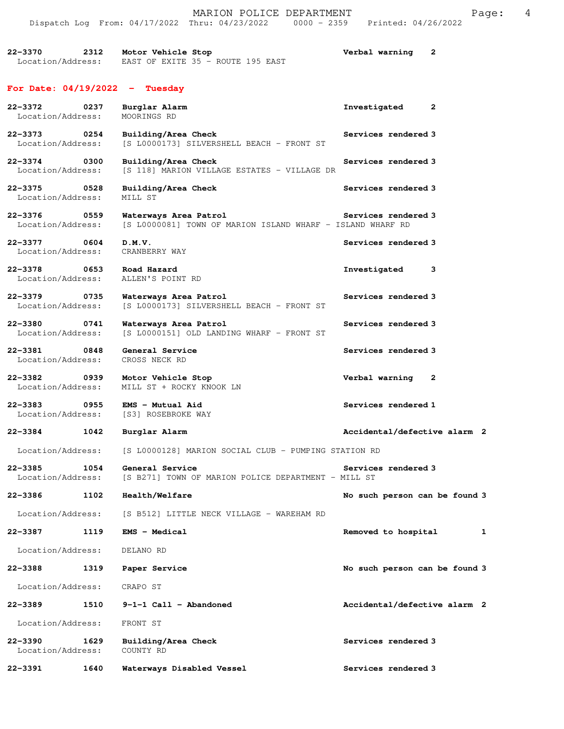|                                                         |      | MARION POLICE DEPARTMENT                                                            | 4<br>Page:                     |
|---------------------------------------------------------|------|-------------------------------------------------------------------------------------|--------------------------------|
|                                                         |      | Dispatch Log From: 04/17/2022 Thru: 04/23/2022 0000 - 2359 Printed: 04/26/2022      |                                |
| 22-3370<br>Location/Address:                            | 2312 | Motor Vehicle Stop<br>EAST OF EXITE 35 - ROUTE 195 EAST                             | Verbal warning<br>2            |
| For Date: $04/19/2022 - Tuesday$                        |      |                                                                                     |                                |
| $22 - 3372$<br>Location/Address:                        | 0237 | Burglar Alarm<br>MOORINGS RD                                                        | Investigated<br>2              |
| 22-3373<br>$\sim$ 0254<br>Location/Address:             |      | Building/Area Check<br>[S L0000173] SILVERSHELL BEACH - FRONT ST                    | Services rendered 3            |
| $22 - 3374$<br>Location/Address:                        |      | Building/Area Check<br>[S 118] MARION VILLAGE ESTATES - VILLAGE DR                  | Services rendered 3            |
| 22-3375 0528<br>Location/Address:                       |      | Building/Area Check<br>MILL ST                                                      | Services rendered 3            |
| $22 - 3376$<br>$\overline{0}$ 0559<br>Location/Address: |      | Waterways Area Patrol<br>[S L0000081] TOWN OF MARION ISLAND WHARF - ISLAND WHARF RD | Services rendered 3            |
| 22-3377 0604<br>Location/Address:                       |      | D.M.V.<br>CRANBERRY WAY                                                             | Services rendered 3            |
| 22-3378 0653<br>Location/Address:                       |      | Road Hazard<br>ALLEN'S POINT RD                                                     | Investigated<br>3              |
| 22-3379<br>0735<br>Location/Address:                    |      | Waterways Area Patrol<br>[S L0000173] SILVERSHELL BEACH - FRONT ST                  | Services rendered 3            |
| $22 - 3380$<br>Location/Address:                        | 0741 | Waterways Area Patrol<br>[S L0000151] OLD LANDING WHARF - FRONT ST                  | Services rendered 3            |
| $22 - 3381$<br>Location/Address:                        | 0848 | General Service<br>CROSS NECK RD                                                    | Services rendered 3            |
| $22 - 3382$<br>$\overline{0}$ 0939<br>Location/Address: |      | Motor Vehicle Stop<br>MILL ST + ROCKY KNOOK LN                                      | Verbal warning<br>$\mathbf{2}$ |
| $22 - 3383$<br>Location/Address:                        | 0955 | EMS - Mutual Aid<br>[S3] ROSEBROKE WAY                                              | Services rendered 1            |
| 22-3384                                                 | 1042 | Burglar Alarm                                                                       | Accidental/defective alarm 2   |
| Location/Address:                                       |      | [S L0000128] MARION SOCIAL CLUB - PUMPING STATION RD                                |                                |
| 22-3385<br>Location/Address:                            | 1054 | General Service<br>[S B271] TOWN OF MARION POLICE DEPARTMENT - MILL ST              | Services rendered 3            |
| $22 - 3386$                                             | 1102 | Health/Welfare                                                                      | No such person can be found 3  |
| Location/Address:                                       |      | [S B512] LITTLE NECK VILLAGE - WAREHAM RD                                           |                                |
| $22 - 3387$                                             | 1119 | EMS - Medical                                                                       | Removed to hospital<br>1       |
| Location/Address:                                       |      | DELANO RD                                                                           |                                |
| $22 - 3388$                                             | 1319 | Paper Service                                                                       | No such person can be found 3  |
| Location/Address:                                       |      | CRAPO ST                                                                            |                                |
| $22 - 3389$                                             | 1510 | $9-1-1$ Call - Abandoned                                                            | Accidental/defective alarm 2   |
| Location/Address:                                       |      | FRONT ST                                                                            |                                |
| $22 - 3390$<br>Location/Address:                        | 1629 | Building/Area Check<br>COUNTY RD                                                    | Services rendered 3            |
| $22 - 3391$                                             | 1640 | Waterways Disabled Vessel                                                           | Services rendered 3            |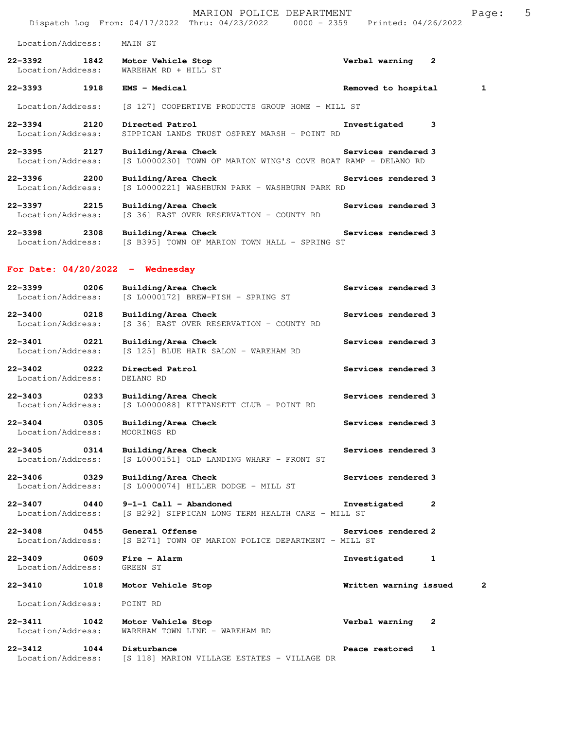|                                                   |      | MARION POLICE DEPARTMENT<br>Dispatch Log From: 04/17/2022 Thru: 04/23/2022 0000 - 2359 Printed: 04/26/2022 |                                | 5<br>Page:   |
|---------------------------------------------------|------|------------------------------------------------------------------------------------------------------------|--------------------------------|--------------|
| Location/Address:                                 |      | MAIN ST                                                                                                    |                                |              |
| 22-3392<br>1842<br>Location/Address:              |      | Motor Vehicle Stop<br>WAREHAM RD + HILL ST                                                                 | Verbal warning<br>$\mathbf{2}$ |              |
| 22-3393 1918                                      |      | EMS - Medical                                                                                              | Removed to hospital            | 1            |
| Location/Address:                                 |      | [S 127] COOPERTIVE PRODUCTS GROUP HOME - MILL ST                                                           |                                |              |
| $22 - 3394$<br>Location/Address:                  | 2120 | Directed Patrol<br>SIPPICAN LANDS TRUST OSPREY MARSH - POINT RD                                            | Investigated<br>3              |              |
| 22–3395 2127<br>Location/Address:                 |      | Building/Area Check<br>[S L0000230] TOWN OF MARION WING'S COVE BOAT RAMP - DELANO RD                       | Services rendered 3            |              |
| 22-3396<br>2200<br>Location/Address:              |      | Building/Area Check<br>[S L0000221] WASHBURN PARK - WASHBURN PARK RD                                       | Services rendered 3            |              |
| $22 - 3397$<br>2215<br>Location/Address:          |      | Building/Area Check<br>[S 36] EAST OVER RESERVATION - COUNTY RD                                            | Services rendered 3            |              |
| 22-3398 2308<br>Location/Address:                 |      | Building/Area Check<br>[S B395] TOWN OF MARION TOWN HALL - SPRING ST                                       | Services rendered 3            |              |
| For Date: $04/20/2022 -$ Wednesday                |      |                                                                                                            |                                |              |
| $22 - 3399$<br>Location/Address:                  | 0206 | Building/Area Check<br>[S L0000172] BREW-FISH - SPRING ST                                                  | Services rendered 3            |              |
| 22-3400<br>$\overline{0218}$<br>Location/Address: |      | Building/Area Check<br>[S 36] EAST OVER RESERVATION - COUNTY RD                                            | Services rendered 3            |              |
| 22-3401 0221<br>Location/Address:                 |      | Building/Area Check<br>[S 125] BLUE HAIR SALON - WAREHAM RD                                                | Services rendered 3            |              |
| $22 - 3402$<br>Location/Address:                  | 0222 | Directed Patrol<br>DELANO RD                                                                               | Services rendered 3            |              |
| 0233<br>22-3403<br>Location/Address:              |      | Building/Area Check<br>[S L0000088] KITTANSETT CLUB - POINT RD                                             | Services rendered 3            |              |
| $22 - 3404$<br>Location/Address:                  | 0305 | Building/Area Check<br>MOORINGS RD                                                                         | <b>Services rendered 3</b>     |              |
| $22 - 3405$<br>Location/Address:                  | 0314 | Building/Area Check<br>[S L0000151] OLD LANDING WHARF - FRONT ST                                           | Services rendered 3            |              |
| $22 - 3406$<br>Location/Address:                  | 0329 | Building/Area Check<br>[S L0000074] HILLER DODGE - MILL ST                                                 | Services rendered 3            |              |
| $22 - 3407$<br>Location/Address:                  | 0440 | $9-1-1$ Call - Abandoned<br>[S B292] SIPPICAN LONG TERM HEALTH CARE - MILL ST                              | $\mathbf{2}$<br>Investigated   |              |
| $22 - 3408$<br>Location/Address:                  | 0455 | General Offense<br>[S B271] TOWN OF MARION POLICE DEPARTMENT - MILL ST                                     | Services rendered 2            |              |
| $22 - 3409$<br>Location/Address:                  | 0609 | Fire - Alarm<br>GREEN ST                                                                                   | Investigated<br>1              |              |
| 22-3410                                           | 1018 | Motor Vehicle Stop                                                                                         | Written warning issued         | $\mathbf{2}$ |
| Location/Address:                                 |      | POINT RD                                                                                                   |                                |              |
| $22 - 3411$<br>Location/Address:                  | 1042 | Motor Vehicle Stop<br>WAREHAM TOWN LINE - WAREHAM RD                                                       | Verbal warning<br>2            |              |
| $22 - 3412$<br>Location/Address:                  | 1044 | Disturbance<br>[S 118] MARION VILLAGE ESTATES - VILLAGE DR                                                 | Peace restored<br>1            |              |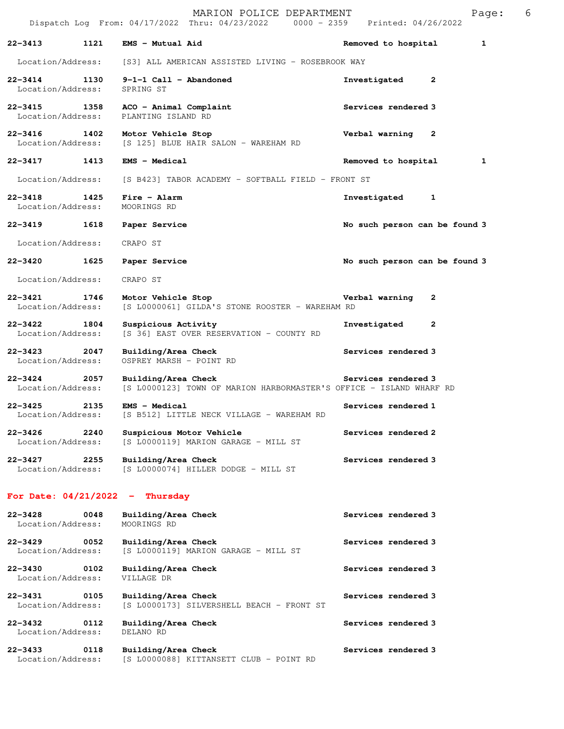|                                   |      |                                                | MARION POLICE DEPARTMENT<br>Dispatch Log From: 04/17/2022 Thru: 04/23/2022 0000 - 2359 Printed: 04/26/2022 |                               | 6<br>Page:   |
|-----------------------------------|------|------------------------------------------------|------------------------------------------------------------------------------------------------------------|-------------------------------|--------------|
| 22-3413                           | 1121 | EMS - Mutual Aid                               |                                                                                                            | Removed to hospital           | 1            |
| Location/Address:                 |      |                                                | [S3] ALL AMERICAN ASSISTED LIVING - ROSEBROOK WAY                                                          |                               |              |
| $22 - 3414$<br>Location/Address:  | 1130 | $9-1-1$ Call - Abandoned<br>SPRING ST          |                                                                                                            | Investigated<br>2             |              |
| 22-3415 1358<br>Location/Address: |      | ACO - Animal Complaint<br>PLANTING ISLAND RD   |                                                                                                            | Services rendered 3           |              |
| 22-3416 1402<br>Location/Address: |      | Motor Vehicle Stop                             | [S 125] BLUE HAIR SALON - WAREHAM RD                                                                       | Verbal warning 2              |              |
| 22-3417                           | 1413 | <b>EMS - Medical</b>                           |                                                                                                            | Removed to hospital           | $\mathbf{1}$ |
| Location/Address:                 |      |                                                | [S B423] TABOR ACADEMY - SOFTBALL FIELD - FRONT ST                                                         |                               |              |
| $22 - 3418$<br>Location/Address:  | 1425 | Fire - Alarm<br>MOORINGS RD                    |                                                                                                            | Investigated<br>1             |              |
| $22 - 3419$                       | 1618 | Paper Service                                  |                                                                                                            | No such person can be found 3 |              |
| Location/Address:                 |      | CRAPO ST                                       |                                                                                                            |                               |              |
| $22 - 3420$                       | 1625 | Paper Service                                  |                                                                                                            | No such person can be found 3 |              |
| Location/Address:                 |      | CRAPO ST                                       |                                                                                                            |                               |              |
| $22 - 3421$<br>Location/Address:  | 1746 | Motor Vehicle Stop                             | [S L0000061] GILDA'S STONE ROOSTER - WAREHAM RD                                                            | Verbal warning<br>2           |              |
| $22 - 3422$<br>Location/Address:  | 1804 | Suspicious Activity                            | [S 36] EAST OVER RESERVATION - COUNTY RD                                                                   | Investigated<br>2             |              |
| 22-3423 2047<br>Location/Address: |      | Building/Area Check<br>OSPREY MARSH - POINT RD |                                                                                                            | Services rendered 3           |              |
| $22 - 3424$<br>Location/Address:  | 2057 | Building/Area Check                            | [S L0000123] TOWN OF MARION HARBORMASTER'S OFFICE - ISLAND WHARF RD                                        | Services rendered 3           |              |
| 22-3425<br>Location/Address:      | 2135 | EMS - Medical                                  | [S B512] LITTLE NECK VILLAGE - WAREHAM RD                                                                  | Services rendered 1           |              |
| 22-3426<br>Location/Address:      | 2240 | Suspicious Motor Vehicle                       | [S L0000119] MARION GARAGE - MILL ST                                                                       | Services rendered 2           |              |
| 22-3427<br>Location/Address:      | 2255 | Building/Area Check                            | [S L0000074] HILLER DODGE - MILL ST                                                                        | Services rendered 3           |              |
|                                   |      | For Date: $04/21/2022 -$ Thursday              |                                                                                                            |                               |              |
| 22-3428<br>Location/Address:      | 0048 | Building/Area Check<br>MOORINGS RD             |                                                                                                            | Services rendered 3           |              |
| 22-3429<br>Location/Address:      | 0052 | Building/Area Check                            | [S L0000119] MARION GARAGE - MILL ST                                                                       | Services rendered 3           |              |
| 22-3430<br>Location/Address:      | 0102 | Building/Area Check<br>VILLAGE DR              |                                                                                                            | Services rendered 3           |              |
| 22-3431<br>Location/Address:      | 0105 | Building/Area Check                            | [S L0000173] SILVERSHELL BEACH - FRONT ST                                                                  | Services rendered 3           |              |
| $22 - 3432$<br>Location/Address:  | 0112 | Building/Area Check<br>DELANO RD               |                                                                                                            | Services rendered 3           |              |
| $22 - 3433$<br>Location/Address:  | 0118 | Building/Area Check                            | [S L0000088] KITTANSETT CLUB - POINT RD                                                                    | Services rendered 3           |              |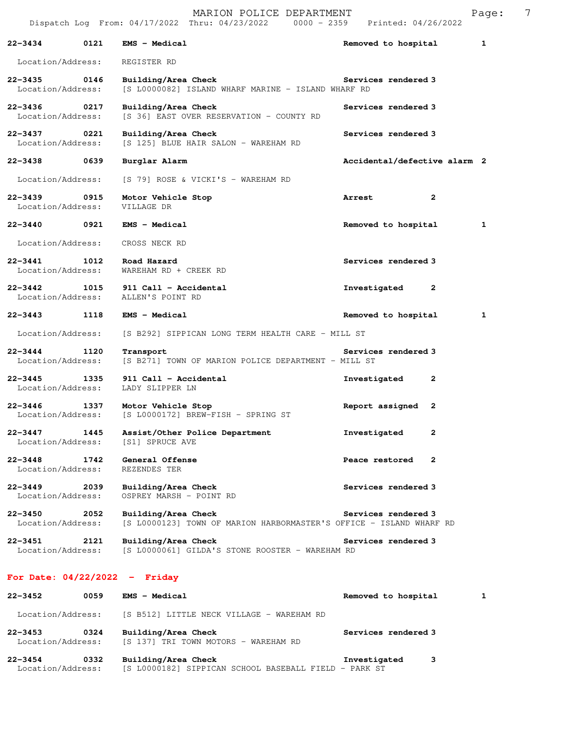|                                   |                          |                                                                           | MARION POLICE DEPARTMENT<br>Dispatch Log From: 04/17/2022 Thru: 04/23/2022 0000 - 2359 Printed: 04/26/2022 | 7<br>Page:   |
|-----------------------------------|--------------------------|---------------------------------------------------------------------------|------------------------------------------------------------------------------------------------------------|--------------|
| $22 - 3434$                       | 0121                     | <b>EMS - Medical</b>                                                      | Removed to hospital                                                                                        | $\mathbf{1}$ |
| Location/Address:                 |                          | REGISTER RD                                                               |                                                                                                            |              |
| $22 - 3435$<br>Location/Address:  | 0146                     | Building/Area Check<br>[S L0000082] ISLAND WHARF MARINE - ISLAND WHARF RD | Services rendered 3                                                                                        |              |
| 22-3436 0217<br>Location/Address: |                          | Building/Area Check<br>[S 36] EAST OVER RESERVATION - COUNTY RD           | Services rendered 3                                                                                        |              |
| 22-3437<br>Location/Address:      | $\overline{\text{0221}}$ | Building/Area Check<br>[S 125] BLUE HAIR SALON - WAREHAM RD               | Services rendered 3                                                                                        |              |
| 22-3438                           | 0639                     | Burglar Alarm                                                             | Accidental/defective alarm 2                                                                               |              |
| Location/Address:                 |                          | [S 79] ROSE & VICKI'S - WAREHAM RD                                        |                                                                                                            |              |
| $22 - 3439$<br>Location/Address:  | 0915                     | Motor Vehicle Stop<br>VILLAGE DR                                          | $\mathbf{2}$<br><b>Arrest</b>                                                                              |              |
| $22 - 3440$                       | $\overline{0921}$        | <b>EMS - Medical</b>                                                      | Removed to hospital                                                                                        | $\mathbf{1}$ |
| Location/Address:                 |                          | CROSS NECK RD                                                             |                                                                                                            |              |
| 22-3441<br>Location/Address:      | 1012                     | Road Hazard<br>WAREHAM RD + CREEK RD                                      | Services rendered 3                                                                                        |              |
| $22 - 3442$<br>Location/Address:  | 1015                     | 911 Call - Accidental<br>ALLEN'S POINT RD                                 | Investigated<br>2                                                                                          |              |
| 22-3443                           | 1118                     | EMS - Medical                                                             | Removed to hospital                                                                                        | 1            |
| Location/Address:                 |                          | [S B292] SIPPICAN LONG TERM HEALTH CARE - MILL ST                         |                                                                                                            |              |
| 22-3444<br>Location/Address:      | 1120                     | Transport<br>[S B271] TOWN OF MARION POLICE DEPARTMENT - MILL ST          | Services rendered 3                                                                                        |              |
| $22 - 3445$<br>Location/Address:  | 1335                     | 911 Call - Accidental<br>LADY SLIPPER LN                                  | Investigated<br>2                                                                                          |              |
| $22 - 3446$<br>Location/Address:  | 1337                     | Motor Vehicle Stop<br>[S L0000172] BREW-FISH - SPRING ST                  | Report assigned 2                                                                                          |              |
| 22-3447<br>Location/Address:      | 1445                     | Assist/Other Police Department<br>[S1] SPRUCE AVE                         | Investigated<br>2                                                                                          |              |
| $22 - 3448$<br>Location/Address:  | 1742                     | General Offense<br>REZENDES TER                                           | Peace restored<br>2                                                                                        |              |
| $22 - 3449$<br>Location/Address:  | 2039                     | Building/Area Check<br>OSPREY MARSH - POINT RD                            | Services rendered 3                                                                                        |              |
| $22 - 3450$<br>Location/Address:  | 2052                     | Building/Area Check                                                       | Services rendered 3<br>[S L0000123] TOWN OF MARION HARBORMASTER'S OFFICE - ISLAND WHARF RD                 |              |
| 22-3451<br>Location/Address:      | 2121                     | Building/Area Check<br>[S L0000061] GILDA'S STONE ROOSTER - WAREHAM RD    | Services rendered 3                                                                                        |              |
|                                   |                          | For Date: $04/22/2022 -$ Friday                                           |                                                                                                            |              |

| $22 - 3452$                      | 0059 | <b>EMS - Medical</b>                                        | Removed to hospital |  |
|----------------------------------|------|-------------------------------------------------------------|---------------------|--|
| Location/Address:                |      | [S B512] LITTLE NECK VILLAGE - WAREHAM RD                   |                     |  |
| $22 - 3453$<br>Location/Address: | 0324 | Building/Area Check<br>IS 1371 TRI TOWN MOTORS - WAREHAM RD | Services rendered 3 |  |
| 22-3454                          | 0332 | Building/Area Check                                         | Investigated<br>з   |  |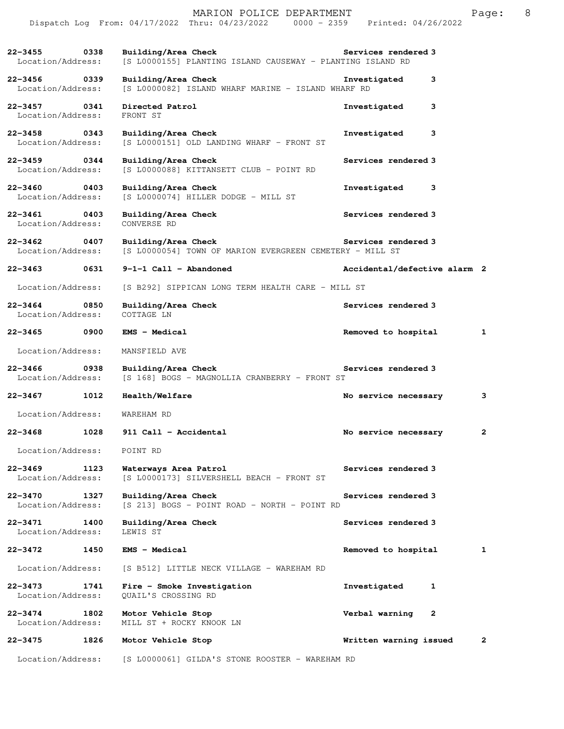|                                   |             | MARION POLICE DEPARTMENT<br>Dispatch Log From: 04/17/2022 Thru: 04/23/2022 0000 - 2359 Printed: 04/26/2022 |                                | 8<br>Page:   |
|-----------------------------------|-------------|------------------------------------------------------------------------------------------------------------|--------------------------------|--------------|
| 22-3455                           | 0338        | Building/Area Check Services rendered 3                                                                    |                                |              |
| Location/Address:                 |             | [S L0000155] PLANTING ISLAND CAUSEWAY - PLANTING ISLAND RD                                                 |                                |              |
| 22-3456 0339<br>Location/Address: |             | Building/Area Check<br>[S L0000082] ISLAND WHARF MARINE - ISLAND WHARF RD                                  | Investigated<br>3              |              |
| $22 - 3457$<br>Location/Address:  | 0341        | Directed Patrol<br>FRONT ST                                                                                | Investigated<br>3              |              |
| $22 - 3458$<br>Location/Address:  | 0343        | Building/Area Check<br>[S L0000151] OLD LANDING WHARF - FRONT ST                                           | 3<br>Investigated              |              |
| 22-3459 0344<br>Location/Address: |             | Building/Area Check<br>[S L0000088] KITTANSETT CLUB - POINT RD                                             | Services rendered 3            |              |
| 22-3460<br>Location/Address:      | $\sim$ 0403 | Building/Area Check<br>$[S L0000074]$ HILLER DODGE - MILL ST                                               | Investigated<br>3              |              |
| 22-3461 0403<br>Location/Address: |             | Building/Area Check<br>CONVERSE RD                                                                         | Services rendered 3            |              |
| 22-3462<br>Location/Address:      | 0407        | Building/Area Check<br>[S L0000054] TOWN OF MARION EVERGREEN CEMETERY - MILL ST                            | Services rendered 3            |              |
| $22 - 3463$                       | 0631        | $9-1-1$ Call - Abandoned                                                                                   | Accidental/defective alarm 2   |              |
| Location/Address:                 |             | [S B292] SIPPICAN LONG TERM HEALTH CARE - MILL ST                                                          |                                |              |
| $22 - 3464$<br>Location/Address:  | 0850        | Building/Area Check<br>COTTAGE LN                                                                          | Services rendered 3            |              |
| 22-3465 0900                      |             | <b>EMS - Medical</b>                                                                                       | Removed to hospital            | $\mathbf{1}$ |
| Location/Address:                 |             | MANSFIELD AVE                                                                                              |                                |              |
| 22-3466 0938<br>Location/Address: |             | Building/Area Check<br>[S 168] BOGS - MAGNOLLIA CRANBERRY - FRONT ST                                       | Services rendered 3            |              |
| 22-3467                           | 1012        | Health/Welfare                                                                                             | No service necessary           | 3            |
| Location/Address:                 |             | WAREHAM RD                                                                                                 |                                |              |
| $22 - 3468$                       | 1028        | 911 Call - Accidental                                                                                      | No service necessary           | $\mathbf{2}$ |
| Location/Address:                 |             | POINT RD                                                                                                   |                                |              |
| $22 - 3469$<br>Location/Address:  | 1123        | Waterways Area Patrol<br>[S L0000173] SILVERSHELL BEACH - FRONT ST                                         | Services rendered 3            |              |
| $22 - 3470$<br>Location/Address:  | 1327        | Building/Area Check<br>[S 213] BOGS - POINT ROAD - NORTH - POINT RD                                        | Services rendered 3            |              |
| 22-3471<br>Location/Address:      | 1400        | Building/Area Check<br>LEWIS ST                                                                            | Services rendered 3            |              |
| $22 - 3472$                       | 1450        | EMS - Medical                                                                                              | Removed to hospital            | 1            |
| Location/Address:                 |             | [S B512] LITTLE NECK VILLAGE - WAREHAM RD                                                                  |                                |              |
| 22-3473<br>Location/Address:      | 1741        | Fire - Smoke Investigation<br><b>OUAIL'S CROSSING RD</b>                                                   | Investigated<br>1              |              |
| $22 - 3474$<br>Location/Address:  | 1802        | Motor Vehicle Stop<br>MILL ST + ROCKY KNOOK LN                                                             | Verbal warning<br>$\mathbf{2}$ |              |
| $22 - 3475$                       | 1826        | Motor Vehicle Stop                                                                                         | Written warning issued         | 2            |
| Location/Address:                 |             | [S L0000061] GILDA'S STONE ROOSTER - WAREHAM RD                                                            |                                |              |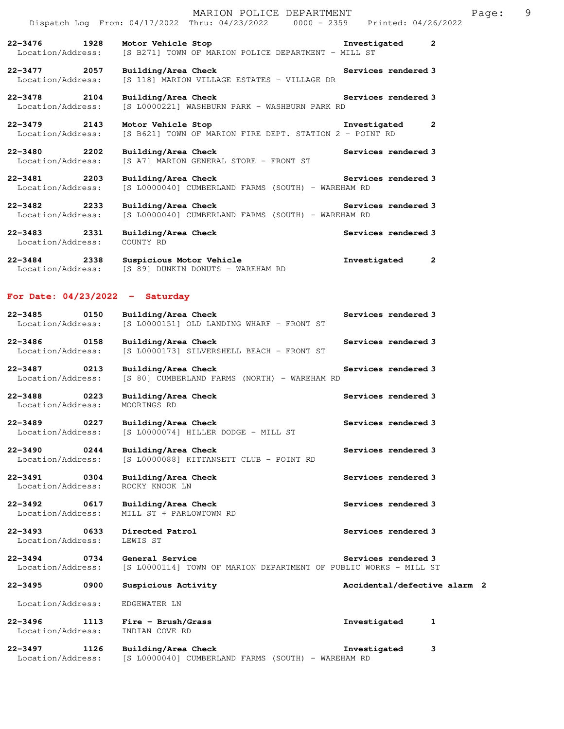|                                   |                                                                                                                                                                                         | MARION POLICE DEPARTMENT<br>Dispatch Log From: 04/17/2022 Thru: 04/23/2022 0000 - 2359 Printed: 04/26/2022 | 9<br>Page: |
|-----------------------------------|-----------------------------------------------------------------------------------------------------------------------------------------------------------------------------------------|------------------------------------------------------------------------------------------------------------|------------|
|                                   | 22-3476 1928 Motor Vehicle Stop North Municipal Control of Art Advanced Municipal Control of Art Art Art Art A<br>Location/Address: [S B271] TOWN OF MARION POLICE DEPARTMENT - MILL ST |                                                                                                            |            |
|                                   | 22-3477 2057 Building/Area Check<br>Location/Address: [S 118] MARION VILLAGE ESTATES - VILLAGE DR                                                                                       | Services rendered 3                                                                                        |            |
| $22 - 3478$ 2104                  | Building/Area Check<br>Location/Address: [S L0000221] WASHBURN PARK - WASHBURN PARK RD                                                                                                  | Services rendered 3                                                                                        |            |
| Location/Address:                 | 22-3479 2143 Motor Vehicle Stop<br>[S B621] TOWN OF MARION FIRE DEPT. STATION 2 - POINT RD                                                                                              | Investigated<br>$\overline{2}$                                                                             |            |
| 22-3480 2202                      | Building/Area Check<br>Location/Address: [S A7] MARION GENERAL STORE - FRONT ST                                                                                                         | Services rendered 3                                                                                        |            |
| $22 - 3481$ 2203                  | Building/Area Check<br>Location/Address: [S L0000040] CUMBERLAND FARMS (SOUTH) - WAREHAM RD                                                                                             | Services rendered 3                                                                                        |            |
| 22-3482 2233<br>Location/Address: | Building/Area Check<br>[S L0000040] CUMBERLAND FARMS (SOUTH) - WAREHAM RD                                                                                                               | Services rendered 3                                                                                        |            |
| Location/Address: COUNTY RD       | 22-3483 2331 Building/Area Check                                                                                                                                                        | Services rendered 3                                                                                        |            |

**22-3484 2338 Suspicious Motor Vehicle Investigated 2**  Location/Address: [S 89] DUNKIN DONUTS - WAREHAM RD

## **For Date: 04/23/2022 - Saturday**

| $22 - 3485$       | 0150 | Building/Area Check                       | Services rendered 3 |
|-------------------|------|-------------------------------------------|---------------------|
| Location/Address: |      | [S L0000151] OLD LANDING WHARF - FRONT ST |                     |

- **22-3486 0158 Building/Area Check Services rendered 3**  Location/Address: [S L0000173] SILVERSHELL BEACH - FRONT ST
- **22-3487 0213 Building/Area Check Services rendered 3**  Location/Address: [S 80] CUMBERLAND FARMS (NORTH) - WAREHAM RD
- **22-3488 0223 Building/Area Check Services rendered 3**  Location/Address: MOORINGS RD
- **22-3489 0227 Building/Area Check Services rendered 3**  Location/Address: [S L0000074] HILLER DODGE - MILL ST
- **22-3490 0244 Building/Area Check Services rendered 3**  Location/Address: [S L0000088] KITTANSETT CLUB - POINT RD
- **22-3491 0304 Building/Area Check Services rendered 3 Iocation/Address:** ROCKY KNOOK LN Location/Address:
- **22-3492 0617 Building/Area Check Services rendered 3**  Location/Address: MILL ST + PARLOWTOWN RD
- **22-3493 0633 Directed Patrol Services rendered 3**  Location/Address: LEWIS ST
- **22-3494 0734 General Service Services rendered 3**  Location/Address: [S L0000114] TOWN OF MARION DEPARTMENT OF PUBLIC WORKS - MILL ST

## **22-3495 0900 Suspicious Activity Accidental/defective alarm 2**

Location/Address: EDGEWATER LN

- **22-3496 1113 Fire Brush/Grass Investigated 1**  Location/Address: INDIAN COVE RD
- **22-3497 1126 Building/Area Check Investigated 3**  Location/Address: [S L0000040] CUMBERLAND FARMS (SOUTH) - WAREHAM RD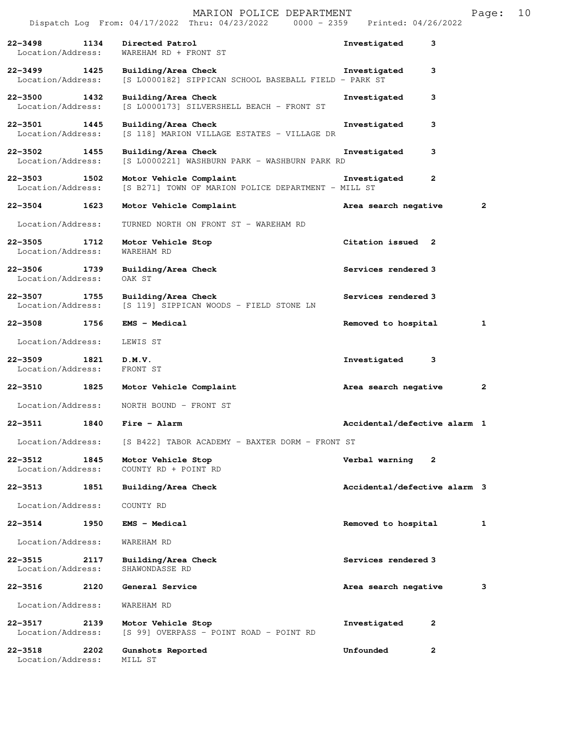|                                          |      |                                            | MARION POLICE DEPARTMENT<br>Dispatch Log From: 04/17/2022 Thru: 04/23/2022 0000 - 2359 Printed: 04/26/2022 |                              |              | Page:        | 10 |
|------------------------------------------|------|--------------------------------------------|------------------------------------------------------------------------------------------------------------|------------------------------|--------------|--------------|----|
| $22 - 3498$<br>Location/Address:         | 1134 | Directed Patrol<br>WAREHAM RD + FRONT ST   |                                                                                                            | Investigated                 | 3            |              |    |
| 22-3499 1425<br>Location/Address:        |      | Building/Area Check                        | [S L0000182] SIPPICAN SCHOOL BASEBALL FIELD - PARK ST                                                      | Investigated                 | 3            |              |    |
| 22-3500 1432<br>Location/Address:        |      | Building/Area Check                        | [S L0000173] SILVERSHELL BEACH - FRONT ST                                                                  | Investigated                 | 3            |              |    |
| $22 - 3501$<br>1445<br>Location/Address: |      | Building/Area Check                        | [S 118] MARION VILLAGE ESTATES - VILLAGE DR                                                                | Investigated                 | 3            |              |    |
| 22-3502 1455<br>Location/Address:        |      | Building/Area Check                        | [S L0000221] WASHBURN PARK - WASHBURN PARK RD                                                              | Investigated                 | 3            |              |    |
| $22 - 3503$<br>1502<br>Location/Address: |      | Motor Vehicle Complaint                    | [S B271] TOWN OF MARION POLICE DEPARTMENT - MILL ST                                                        | Investigated                 | $\mathbf{2}$ |              |    |
| $22 - 3504$                              | 1623 | Motor Vehicle Complaint                    |                                                                                                            | Area search negative         |              | $\mathbf{2}$ |    |
| Location/Address:                        |      |                                            | TURNED NORTH ON FRONT ST - WAREHAM RD                                                                      |                              |              |              |    |
| $22 - 3505$<br>Location/Address:         | 1712 | Motor Vehicle Stop<br><b>WAREHAM RD</b>    |                                                                                                            | Citation issued 2            |              |              |    |
| 22-3506 1739<br>Location/Address:        |      | Building/Area Check<br>OAK ST              |                                                                                                            | Services rendered 3          |              |              |    |
| 22-3507 1755<br>Location/Address:        |      | Building/Area Check                        | [S 119] SIPPICAN WOODS - FIELD STONE LN                                                                    | Services rendered 3          |              |              |    |
| $22 - 3508$<br>1756                      |      | <b>EMS - Medical</b>                       |                                                                                                            | Removed to hospital          |              | 1            |    |
| Location/Address:                        |      | LEWIS ST                                   |                                                                                                            |                              |              |              |    |
| 22-3509<br>1821<br>Location/Address:     |      | D.M.V.<br>FRONT ST                         |                                                                                                            | Investigated                 | 3            |              |    |
| 1825<br>22-3510                          |      | Motor Vehicle Complaint                    |                                                                                                            | Area search negative         |              | $\mathbf{2}$ |    |
| Location/Address:                        |      | NORTH BOUND - FRONT ST                     |                                                                                                            |                              |              |              |    |
| $22 - 3511$                              | 1840 | Fire - Alarm                               |                                                                                                            | Accidental/defective alarm 1 |              |              |    |
| Location/Address:                        |      |                                            | [S B422] TABOR ACADEMY - BAXTER DORM - FRONT ST                                                            |                              |              |              |    |
| $22 - 3512$<br>Location/Address:         | 1845 | Motor Vehicle Stop<br>COUNTY RD + POINT RD |                                                                                                            | Verbal warning               | 2            |              |    |
| 22-3513                                  | 1851 | Building/Area Check                        |                                                                                                            | Accidental/defective alarm 3 |              |              |    |
| Location/Address:                        |      | COUNTY RD                                  |                                                                                                            |                              |              |              |    |
| $22 - 3514$                              | 1950 | EMS - Medical                              |                                                                                                            | Removed to hospital          |              | 1            |    |
| Location/Address:                        |      | WAREHAM RD                                 |                                                                                                            |                              |              |              |    |
| $22 - 3515$<br>Location/Address:         | 2117 | Building/Area Check<br>SHAWONDASSE RD      |                                                                                                            | Services rendered 3          |              |              |    |
| $22 - 3516$                              | 2120 | General Service                            |                                                                                                            | Area search negative         |              | 3            |    |
| Location/Address:                        |      | WAREHAM RD                                 |                                                                                                            |                              |              |              |    |
| $22 - 3517$<br>Location/Address:         | 2139 | Motor Vehicle Stop                         | [S 99] OVERPASS - POINT ROAD - POINT RD                                                                    | Investigated                 | 2            |              |    |
| $22 - 3518$<br>Location/Address:         | 2202 | Gunshots Reported<br>MILL ST               |                                                                                                            | Unfounded                    | $\mathbf{2}$ |              |    |